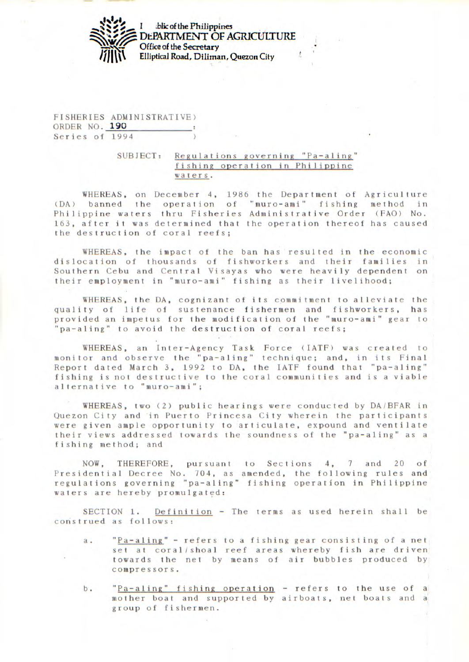

*<i><u><b>Iblic of the Philippines</u>* DEPARTMENT OF AGRICULTURE Office of the Secretary Elliptical Road, Diliman, Quezon City

FISHERIES ADMINISTRATIVE) ORDER NO. **190**  Series of 1994

## SUBJECT: Regulations governing "Pa-aling" fishing operation in Philippine waters.

WHEREAS, on December 4, 1986 the Department of Agriculture (DA) banned the operation of "muro-ami" fishing method in Philippine waters thru Fisheries Administrative Order (FAO) No. 163, after it was determined that the operation thereof has caused the destruction of coral reefs;

WHEREAS, the impact of the ban has resulted in the economic dislocation of thousands of fishworkers and their families in Southern Cebu and Central Visayas who were heavily dependent on their employment in "muro-ami" fishing as their livelihood;

WHEREAS, the DA, cognizant of its commitment to alleviate the quality of life of sustenance fishermen and fishworkers, has provided an impetus for the modification of the "muro-ami" gear to "pa-aling" to avoid the destruction of coral reefs;

WHEREAS, an Inter-Agency Task Force (IATF) was created to monitor and observe the "pa-aling" technique; and, in its Final Report dated March 3, 1992 to DA, the IATF found that "pa-aling" fishing is not destructive to the coral communities and is a viable alternative to "muro-ami";

WHEREAS, two (2) public hearings were conducted by DA/BFAR in Quezon City and in Puerto Princesa City wherein the participants were given ample opportunity to articulate, expound and ventilate their views addressed towards the soundness of the "pa-aling" as a fishing method; and

NOW, THEREFORE, pursuant to Sections 4, 7 and 20 of Presidential Decree No. 104, as amended, the following rules and regulations governing "pa-aling" fishing operation in Philippine waters are hereby promulgated:

SECTION 1. Definition - The terms as used herein shall be construed as follows:

- a. "Pa-aling" refers to a fishing gear consisting of a net set at coral/ shoal reef areas whereby fish are driven towards the net by means of air bubbles produced by compressors.
- b. "Pa-aling" fishing operation refers to the use of a mother boat and supported by airboats, net boats and a group of fishermen.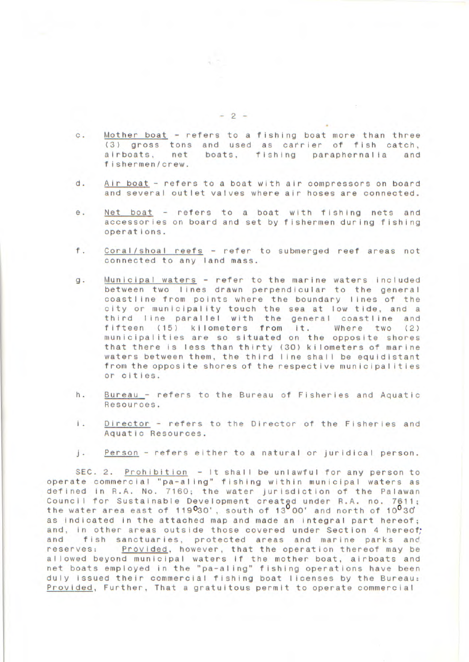- c. Mother boat refers to a fishing boat more than three (3) gross tons and used as carrier of fish catch,<br>airboats, net boats, fishing paraphernalia and net boats, fishing paraphernalia and fishermen/crew.
- d. Air boat refers to a boat with air compressors on board and several outlet valves where air hoses are connected.
- e. Net boat refers to a boat with fishing nets and accessories on board and set by fishermen during fishing operations.
- f. Coral/shoal reefs refer to submerged reef areas not connected to any land mass.
- g. Municipal waters refer to the marine waters included between two lines drawn perpendicular to the general coastline from points where the boundary lines of the city or municipality touch the sea at low tide, and a third line parallel with the general coastline and fifteen (15) kilometers from it. Where two (2) municipalities are so situated on the opposite shores that there is less than thirty (30) kilometers of marine waters between them, the third line shall be equidistant from the opposite shores of the respective municipalities or cities.
- h. Bureau refers to the Bureau of Fisheries and Aquatic Resources.
- I. Director refers to the Director of the Fisheries and Aquatic Resources.
- j. Person refers either to a natural or juridical person.

SEC. 2. Prohibition - It shall be unlawful for any person to operate commercial "pa-aling" fishing within municipal waters as defined in R.A. No. 7160; the water jurisdiction of the Palawan Council for Sustainable Development created under R.A. no. 7611;<br>the water area east of 119<sup>0</sup>30', south of 13<sup>0</sup>00' and north of 10<sup>0</sup>30' as indicated in the attached map and made an integral part hereof; and, in other areas outside those covered under Section 4 hereof;<br>and fish sanctuaries, protected areas and marine parks and and fish sanctuaries, protected areas and marine parks and<br>reserves: Provided, however, that the operation thereof may be Provided, however, that the operation thereof may be allowed beyond municipal waters if the mother boat, airboats and net boats employed in the "pa-aling" fishing operations have been duly Issued their commercial fishing boat licenses by the Bureau: Provided, Further, That a gratuitous permit to operate commercial

-2-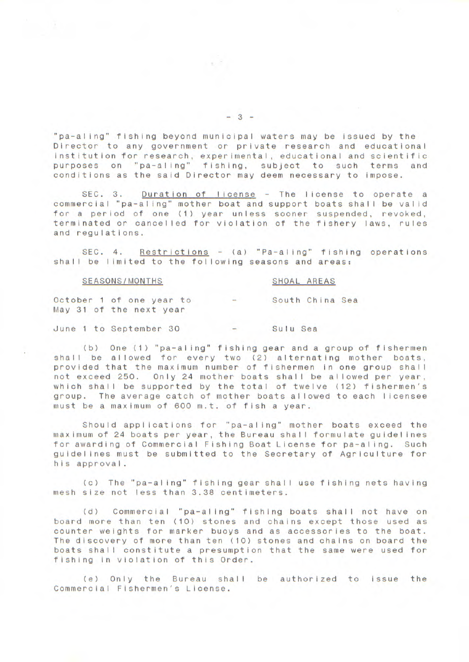"pa-al ing" fishing beyond municipal waters may be issued by the Director to any government or private research and educational institution for research, experimental, educational and scientific purposes on "pa-aling" fishing, subject to such terms and conditions as the said Director may deem necessary to impose.

SEC. 3. Duration of license - The license to operate a commercial "pa-aling" mother boat and support boats shall be valid for a period of one (1) year unless sooner suspended, revoked, terminated or cancelled for violation of the fishery laws, rules and regulations.

SEC. 4. Restrictions - (a) "Pa-aling" fishing operations shall be limited to the following seasons and areas:

## SEASONS/MONTHS SHOAL AREAS

October 1 of one year to - South China Sea May 31 of the next year

June 1 to September 30 - Sulu Sea

(b) One (1) "pa-al ing" fishing gear and a group of fishermen shall be allowed for every two (2) alternating mother boats, provided that the maximum number of fishermen in one group shall not exceed 250. Only 24 mother boats shall be allowed per year, which shall be supported by the total of twelve (12) fishermen's group. The average catch of mother boats allowed to each licensee must be a maximum of 600 m.t. of fish a year.

Should applications for "pa-aling" mother boats exceed the maximum of 24 boats per year, the Bureau shall formulate guidelines for awarding of Commercial Fishing Boat License for pa-al ing. Such guidelines must be submitted to the Secretary of Agriculture for his approval.

(C) The "pa-al ing" fishing gear shall use fishing nets having mesh size not less than 3.38 centimeters.

(d) Commercial "pa-al ing" fishing boats shall not have on board more than ten (10) stones and chains except those used as counter weights for marker buoys and as accessories to the boat. The discovery of more than ten (10) stones and chains on board the boats shall constitute a presumption that the same were used for fishing in violation of this Order.

(e) Only the Bureau shall be authorized to issue the Commercial Fishermen's License.